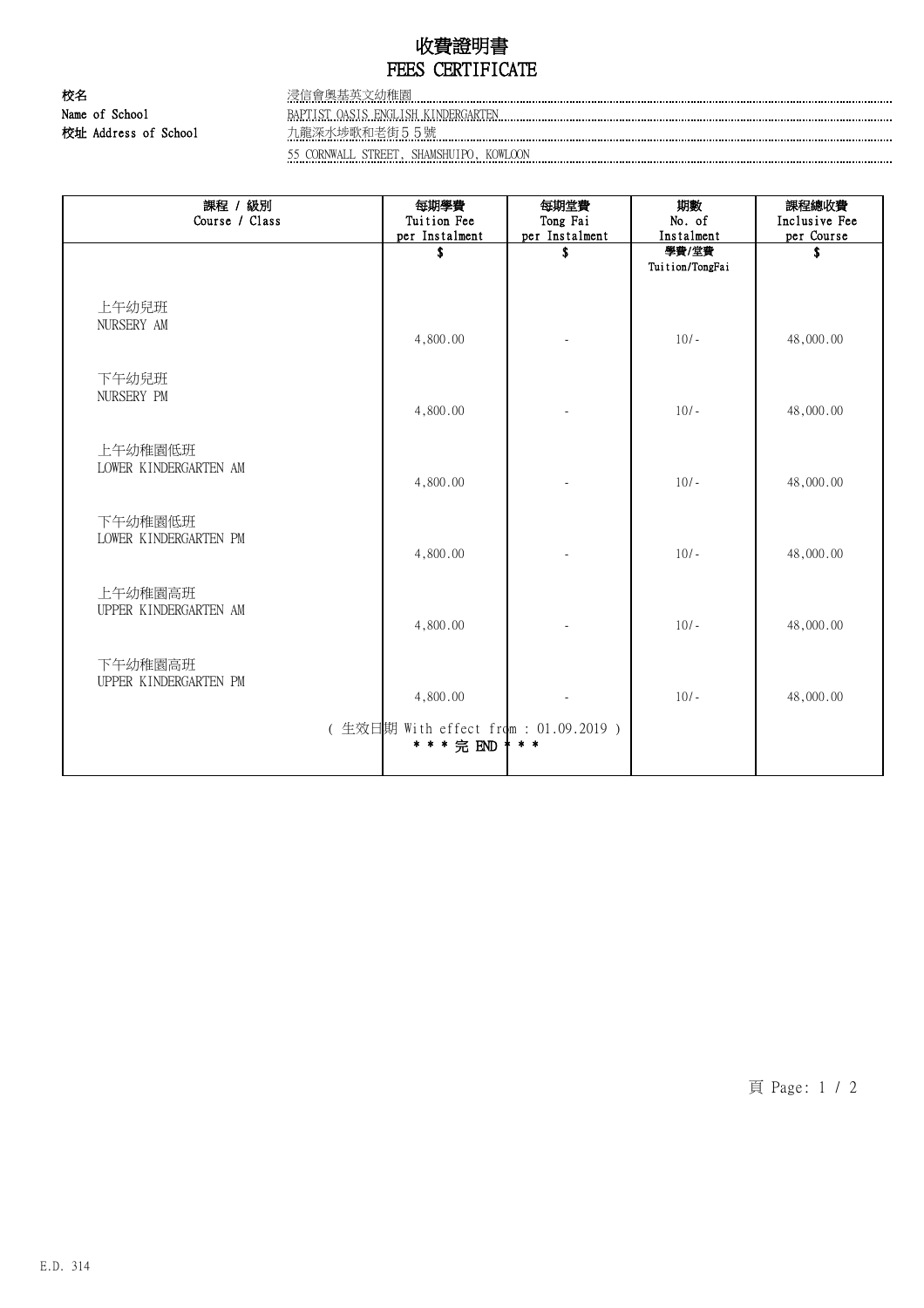## 收費證明書 FEES CERTIFICATE

校名 浸信會奧基英文幼稚園 Name of School BAPTIST OASIS ENGLISH KINDERGARTEN 校址 Address of School 九龍深水埗歌和老街55號

55 CORNWALL STREET, SHAMSHUIPO, KOWLOON

| 課程 / 級別                          | 每期學費                                                 | 每期堂費                 | 期數                  | 課程總收費            |
|----------------------------------|------------------------------------------------------|----------------------|---------------------|------------------|
| Course / Class                   | Tuition Fee                                          | Tong Fai             | No. of              | Inclusive Fee    |
|                                  | per Instalment<br>\$                                 | per Instalment<br>\$ | Instalment<br>學費/堂費 | per Course<br>\$ |
|                                  |                                                      |                      | Tuition/TongFai     |                  |
|                                  |                                                      |                      |                     |                  |
|                                  |                                                      |                      |                     |                  |
| 上午幼兒班<br>NURSERY AM              |                                                      |                      |                     |                  |
|                                  | 4,800.00                                             | ÷,                   | $10/-$              | 48,000.00        |
|                                  |                                                      |                      |                     |                  |
| 下午幼兒班                            |                                                      |                      |                     |                  |
| NURSERY PM                       |                                                      |                      |                     |                  |
|                                  | 4,800.00                                             |                      | $10/-$              | 48,000.00        |
|                                  |                                                      |                      |                     |                  |
| 上午幼稚園低班                          |                                                      |                      |                     |                  |
| LOWER KINDERGARTEN AM            |                                                      |                      |                     |                  |
|                                  | 4,800.00                                             | ä,                   | $10/-$              | 48,000.00        |
|                                  |                                                      |                      |                     |                  |
| 下午幼稚園低班                          |                                                      |                      |                     |                  |
| LOWER KINDERGARTEN PM            | 4,800.00                                             |                      | $10/-$              | 48,000.00        |
|                                  |                                                      | $\overline{a}$       |                     |                  |
|                                  |                                                      |                      |                     |                  |
| 上午幼稚園高班<br>UPPER KINDERGARTEN AM |                                                      |                      |                     |                  |
|                                  | 4,800.00                                             |                      | $10/-$              | 48,000.00        |
|                                  |                                                      |                      |                     |                  |
| 下午幼稚園高班                          |                                                      |                      |                     |                  |
| UPPER KINDERGARTEN PM            |                                                      |                      |                     |                  |
|                                  | 4,800.00                                             |                      | $10/-$              | 48,000.00        |
|                                  |                                                      |                      |                     |                  |
|                                  | (生效日期 With effect from : 01.09.2019 )<br>* * * 完 END | $* *$                |                     |                  |
|                                  |                                                      |                      |                     |                  |
|                                  |                                                      |                      |                     |                  |

頁 Page: 1 / 2